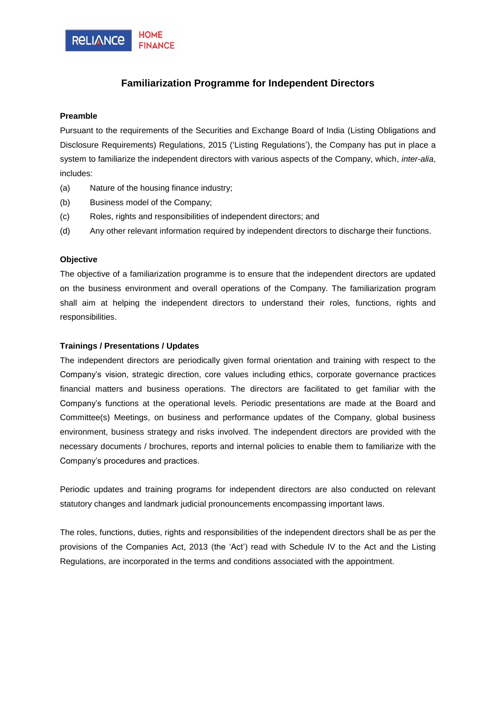

## **Familiarization Programme for Independent Directors**

## **Preamble**

Pursuant to the requirements of the Securities and Exchange Board of India (Listing Obligations and Disclosure Requirements) Regulations, 2015 ('Listing Regulations'), the Company has put in place a system to familiarize the independent directors with various aspects of the Company, which, *inter-alia*, includes:

- (a) Nature of the housing finance industry;
- (b) Business model of the Company;
- (c) Roles, rights and responsibilities of independent directors; and
- (d) Any other relevant information required by independent directors to discharge their functions.

## **Objective**

The objective of a familiarization programme is to ensure that the independent directors are updated on the business environment and overall operations of the Company. The familiarization program shall aim at helping the independent directors to understand their roles, functions, rights and responsibilities.

## **Trainings / Presentations / Updates**

The independent directors are periodically given formal orientation and training with respect to the Company's vision, strategic direction, core values including ethics, corporate governance practices financial matters and business operations. The directors are facilitated to get familiar with the Company's functions at the operational levels. Periodic presentations are made at the Board and Committee(s) Meetings, on business and performance updates of the Company, global business environment, business strategy and risks involved. The independent directors are provided with the necessary documents / brochures, reports and internal policies to enable them to familiarize with the Company's procedures and practices.

Periodic updates and training programs for independent directors are also conducted on relevant statutory changes and landmark judicial pronouncements encompassing important laws.

The roles, functions, duties, rights and responsibilities of the independent directors shall be as per the provisions of the Companies Act, 2013 (the 'Act') read with Schedule IV to the Act and the Listing Regulations, are incorporated in the terms and conditions associated with the appointment.